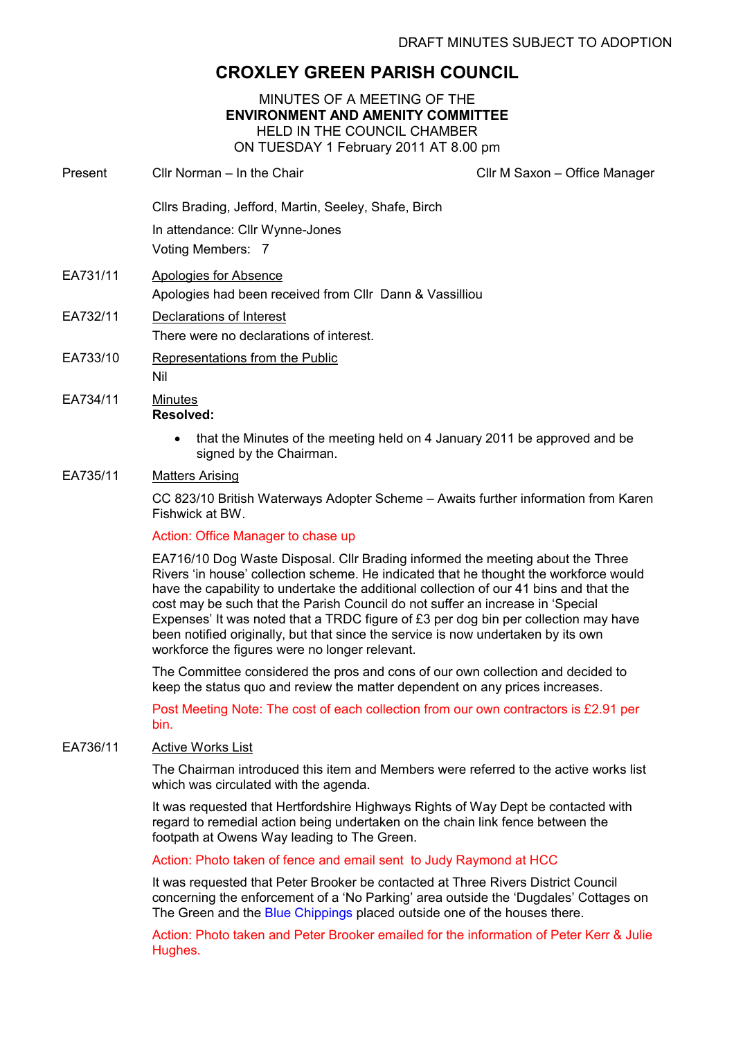# CROXLEY GREEN PARISH COUNCIL

# MINUTES OF A MEETING OF THE ENVIRONMENT AND AMENITY COMMITTEE HELD IN THE COUNCIL CHAMBER ON TUESDAY 1 February 2011 AT 8.00 pm

Present Cllr Norman – In the Chair Clir Clir M Saxon – Office Manager

Cllrs Brading, Jefford, Martin, Seeley, Shafe, Birch

In attendance: Cllr Wynne-Jones

Voting Members: 7

- EA731/11 Apologies for Absence Apologies had been received from Cllr Dann & Vassilliou
- EA732/11 Declarations of Interest There were no declarations of interest.
- EA733/10 Representations from the Public Nil
- EA734/11 Minutes Resolved:
	- that the Minutes of the meeting held on 4 January 2011 be approved and be signed by the Chairman.

# EA735/11 Matters Arising

CC 823/10 British Waterways Adopter Scheme – Awaits further information from Karen Fishwick at BW.

# Action: Office Manager to chase up

EA716/10 Dog Waste Disposal. Cllr Brading informed the meeting about the Three Rivers 'in house' collection scheme. He indicated that he thought the workforce would have the capability to undertake the additional collection of our 41 bins and that the cost may be such that the Parish Council do not suffer an increase in 'Special Expenses' It was noted that a TRDC figure of £3 per dog bin per collection may have been notified originally, but that since the service is now undertaken by its own workforce the figures were no longer relevant.

The Committee considered the pros and cons of our own collection and decided to keep the status quo and review the matter dependent on any prices increases.

Post Meeting Note: The cost of each collection from our own contractors is £2.91 per bin.

# EA736/11 Active Works List

The Chairman introduced this item and Members were referred to the active works list which was circulated with the agenda.

It was requested that Hertfordshire Highways Rights of Way Dept be contacted with regard to remedial action being undertaken on the chain link fence between the footpath at Owens Way leading to The Green.

Action: Photo taken of fence and email sent to Judy Raymond at HCC

It was requested that Peter Brooker be contacted at Three Rivers District Council concerning the enforcement of a 'No Parking' area outside the 'Dugdales' Cottages on The Green and the Blue Chippings placed outside one of the houses there.

Action: Photo taken and Peter Brooker emailed for the information of Peter Kerr & Julie Hughes.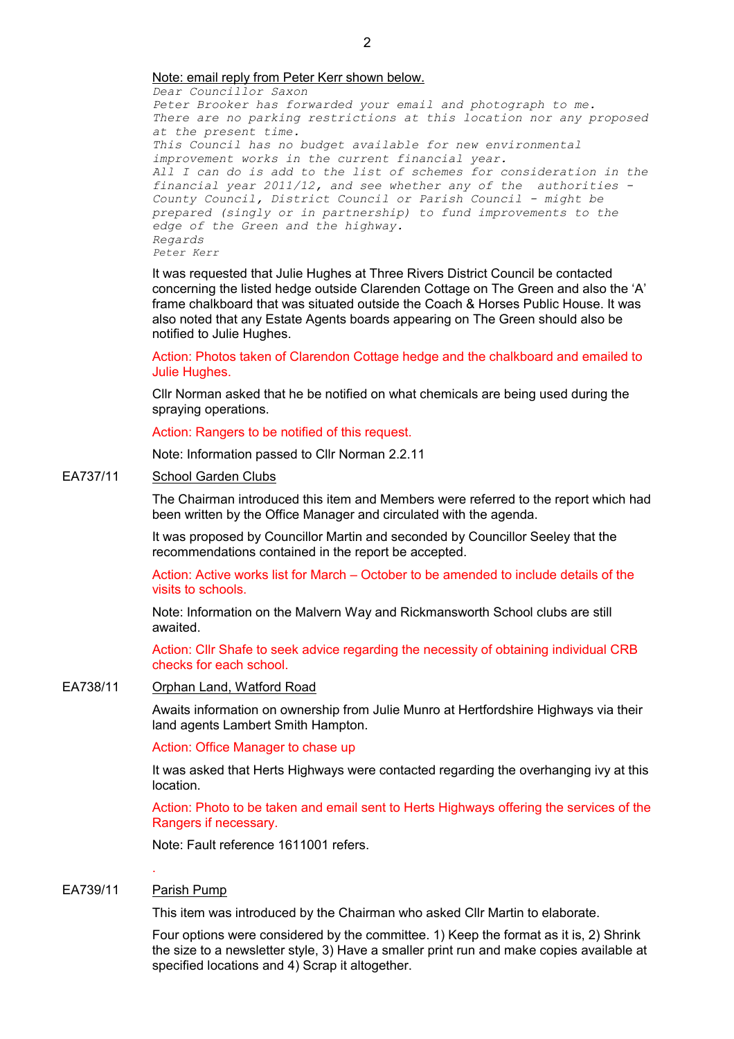Dear Councillor Saxon Peter Brooker has forwarded your email and photograph to me. There are no parking restrictions at this location nor any proposed at the present time. This Council has no budget available for new environmental improvement works in the current financial year. All I can do is add to the list of schemes for consideration in the financial year 2011/12, and see whether any of the authorities - County Council, District Council or Parish Council - might be prepared (singly or in partnership) to fund improvements to the edge of the Green and the highway. Regards Peter Kerr

It was requested that Julie Hughes at Three Rivers District Council be contacted concerning the listed hedge outside Clarenden Cottage on The Green and also the 'A' frame chalkboard that was situated outside the Coach & Horses Public House. It was also noted that any Estate Agents boards appearing on The Green should also be notified to Julie Hughes.

Action: Photos taken of Clarendon Cottage hedge and the chalkboard and emailed to Julie Hughes.

Cllr Norman asked that he be notified on what chemicals are being used during the spraying operations.

Action: Rangers to be notified of this request.

Note: Information passed to Cllr Norman 2.2.11

# EA737/11 School Garden Clubs

The Chairman introduced this item and Members were referred to the report which had been written by the Office Manager and circulated with the agenda.

It was proposed by Councillor Martin and seconded by Councillor Seeley that the recommendations contained in the report be accepted.

Action: Active works list for March – October to be amended to include details of the visits to schools.

Note: Information on the Malvern Way and Rickmansworth School clubs are still awaited.

Action: Cllr Shafe to seek advice regarding the necessity of obtaining individual CRB checks for each school.

### EA738/11 Orphan Land, Watford Road

Awaits information on ownership from Julie Munro at Hertfordshire Highways via their land agents Lambert Smith Hampton.

Action: Office Manager to chase up

It was asked that Herts Highways were contacted regarding the overhanging ivy at this location.

Action: Photo to be taken and email sent to Herts Highways offering the services of the Rangers if necessary.

Note: Fault reference 1611001 refers.

#### EA739/11 Parish Pump

.

This item was introduced by the Chairman who asked Cllr Martin to elaborate.

Four options were considered by the committee. 1) Keep the format as it is, 2) Shrink the size to a newsletter style, 3) Have a smaller print run and make copies available at specified locations and 4) Scrap it altogether.